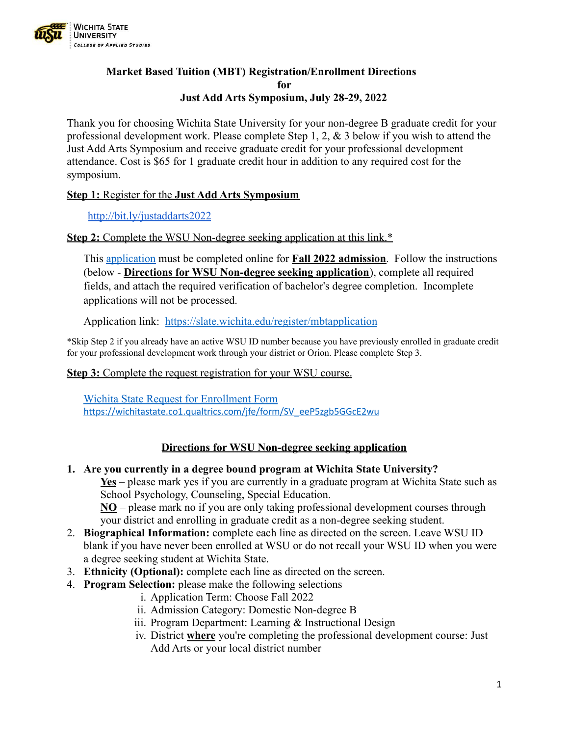

## **Market Based Tuition (MBT) Registration/Enrollment Directions for Just Add Arts Symposium, July 28-29, 2022**

Thank you for choosing Wichita State University for your non-degree B graduate credit for your professional development work. Please complete Step 1, 2, & 3 below if you wish to attend the Just Add Arts Symposium and receive graduate credit for your professional development attendance. Cost is \$65 for 1 graduate credit hour in addition to any required cost for the symposium.

## **Step 1:** Register for the **Just Add Arts Symposium**

<http://bit.ly/justaddarts2022>

## **Step 2:** Complete the WSU Non-degree seeking application at this link.\*

This [application](https://slate.wichita.edu/register/mbtapplication) must be completed online for **Fall 2022 admission**. Follow the instructions (below - **Directions for WSU Non-degree seeking application**), complete all required fields, and attach the required verification of bachelor's degree completion. Incomplete applications will not be processed.

Application link: <https://slate.wichita.edu/register/mbtapplication>

\*Skip Step 2 if you already have an active WSU ID number because you have previously enrolled in graduate credit for your professional development work through your district or Orion. Please complete Step 3.

### **Step 3:** Complete the request registration for your WSU course.

[Wichita State Request for Enrollment Form](https://wichitastate.co1.qualtrics.com/jfe/form/SV_eeP5zgb5GGcE2wu) [https://wichitastate.co1.qualtrics.com/jfe/form/SV\\_eeP5zgb5GGcE2wu](https://wichitastate.co1.qualtrics.com/jfe/form/SV_eeP5zgb5GGcE2wu)

# **Directions for WSU Non-degree seeking application**

#### **1. Are you currently in a degree bound program at Wichita State University?**

**Yes** – please mark yes if you are currently in a graduate program at Wichita State such as School Psychology, Counseling, Special Education.

**NO** – please mark no if you are only taking professional development courses through your district and enrolling in graduate credit as a non-degree seeking student.

- 2. **Biographical Information:** complete each line as directed on the screen. Leave WSU ID blank if you have never been enrolled at WSU or do not recall your WSU ID when you were a degree seeking student at Wichita State.
- 3. **Ethnicity (Optional):** complete each line as directed on the screen.
- 4. **Program Selection:** please make the following selections
	- i. Application Term: Choose Fall 2022
	- ii. Admission Category: Domestic Non-degree B
	- iii. Program Department: Learning & Instructional Design
	- iv. District **where** you're completing the professional development course: Just Add Arts or your local district number